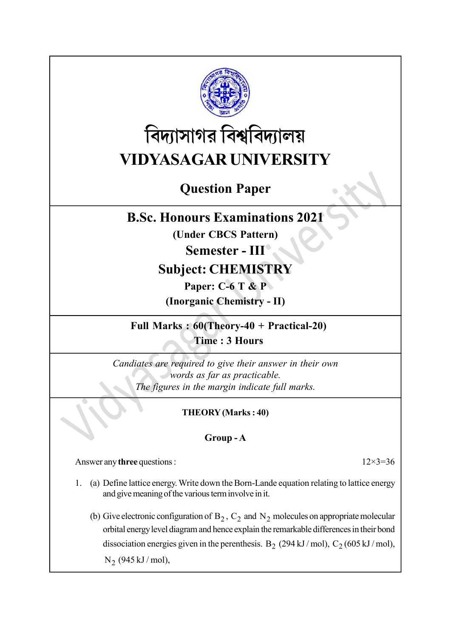

# বিদ্যাসাগর বিশ্ববিদ্যালয় VIDYASAGAR UNIVERSITY

# Question Paper

### B.Sc. Honours Examinations 2021

(Under CBCS Pattern)

### Semester - III

## Subject: CHEMISTRY

Paper: C-6 T & P

(Inorganic Chemistry - II)

Full Marks : 60(Theory-40 + Practical-20) Time : 3 Hours

Candiates are required to give their answer in their own words as far as practicable. The figures in the margin indicate full marks.

### THEORY (Marks : 40)

### Group - A

Answer any three questions : 12×3=36

- 1. (a) Define lattice energy. Write down the Born-Lande equation relating to lattice energy and give meaning of the various term involve in it.
	- (b) Give electronic configuration of  $B_2$ ,  $C_2$  and  $N_2$  molecules on appropriate molecular orbital energy level diagram and hence explain the remarkable differences in their bond dissociation energies given in the perenthesis. B<sub>2</sub> (294 kJ/mol), C<sub>2</sub> (605 kJ/mol),  $N_2$  (945 kJ / mol),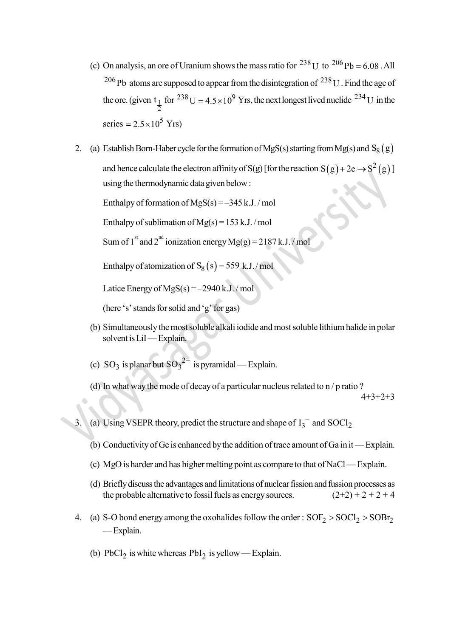- (c) On analysis, an ore of Uranium shows the mass ratio for  $^{238}$  U to  $^{206}$  Pb = 6.08  $\cdot$  All <sup>206</sup>Pb atoms are supposed to appear from the disintegration of <sup>238</sup>U. Find the age of the ore. (given  $t_1$ 2 t<sub>1</sub> for <sup>238</sup> U = 4.5 × 10<sup>9</sup> Yrs, the next longest lived nuclide <sup>234</sup> U in the series  $= 2.5 \times 10^5$  Yrs) On analysis, an ore of Uranium shows the mass ratio for <sup>238</sup> U to <sup>206</sup> Pb = 6.08 . All<br><sup>206</sup> Pb atoms are supposed to appear from the disintegration of <sup>238</sup> U . Find the age of<br>the ore. (given t<sub>1</sub> for <sup>238</sup> U = 4.5×10
- 2. (a) Establish Born-Haber cycle for the formation of MgS(s) starting from Mg(s) and  $S_8(g)$ using the thermodynamic data given below :

Enthalpy of formation of MgS(s) = –345 k.J. / mol

Enthalpy of sublimation of  $Mg(s) = 153$  k.J./mol

Sum of 1st and 2<sup>nd</sup> ionization energy Mg(g) = 2187 k.J./mol

Enthalpy of atomization of  $S_8(s) = 559$  k.J./mol

Latice Energy of  $MgS(s) = -2940 \text{ k.J.} / \text{mol}$ 

(here 's' stands for solid and 'g' for gas)

- (b) Simultaneously the most soluble alkali iodide and most soluble lithium halide in polar solvent is LiI — Explain.
- (c) SO<sub>3</sub> is planar but  $SO_3^2$ <sup>-</sup> is pyramidal Explain.
- (d) In what way the mode of decay of a particular nucleus related to n / p ratio ? 4+3+2+3
- 3. (a) Using VSEPR theory, predict the structure and shape of  $I_3^-$  and  $S OCl_2$ 
	- (b) Conductivity of Ge is enhanced by the addition of trace amount of Ga in it Explain.
	- (c) MgO is harder and has higher melting point as compare to that of NaCl Explain.
	- (d) Briefly discuss the advantages and limitations of nuclear fission and fussion processes as the probable alternative to fossil fuels as energy sources.  $(2+2) + 2 + 2 + 4$
- 4. (a) S-O bond energy among the oxohalides follow the order :  $SOF_2 > SOCl_2 > SOBr_2$ — Explain.
	- (b)  $PbCl_2$  is white whereas  $PbI_2$  is yellow Explain.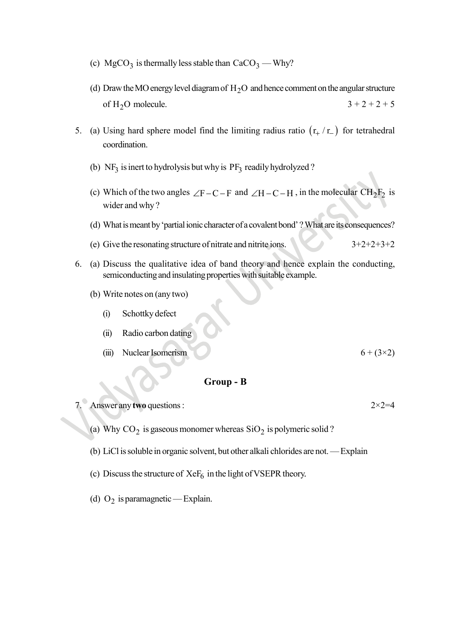- (c)  $MgCO<sub>3</sub>$  is thermally less stable than  $CaCO<sub>3</sub>$  Why?
- (d) Draw the MO energy level diagram of  $H_2O$  and hence comment on the angular structure of  $H_2O$  molecule.  $3 + 2 + 2 + 5$
- 5. (a) Using hard sphere model find the limiting radius ratio  $(r_{+}/r_{-})$  for tetrahedral coordination.
	- (b)  $NF_3$  is inert to hydrolysis but why is  $PF_3$  readily hydrolyzed?
	- (c) Which of the two angles  $\angle F C F$  and  $\angle H C H$ , in the molecular  $CH_2F_2$  is wider and why ?
	- (d) What is meant by 'partial ionic character of a covalent bond' ? What are its consequences?
	- (e) Give the resonating structure of nitrate and nitrite ions.  $3+2+2+3+2$
- 6. (a) Discuss the qualitative idea of band theory and hence explain the conducting, semiconducting and insulating properties with suitable example.
	- (b) Write notes on (any two)
		- (i) Schottky defect
		- (ii) Radio carbon dating
		- (iii) Nuclear Isomerism  $6 + (3 \times 2)$

#### Group - B

- Answer any two questions :  $2 \times 2=4$ 
	- (a) Why  $CO_2$  is gaseous monomer whereas  $SiO_2$  is polymeric solid?
	- (b) LiCl is soluble in organic solvent, but other alkali chlorides are not. Explain
	- (c) Discuss the structure of  $XeF_6$  in the light of VSEPR theory.
	- (d)  $O_2$  is paramagnetic Explain.